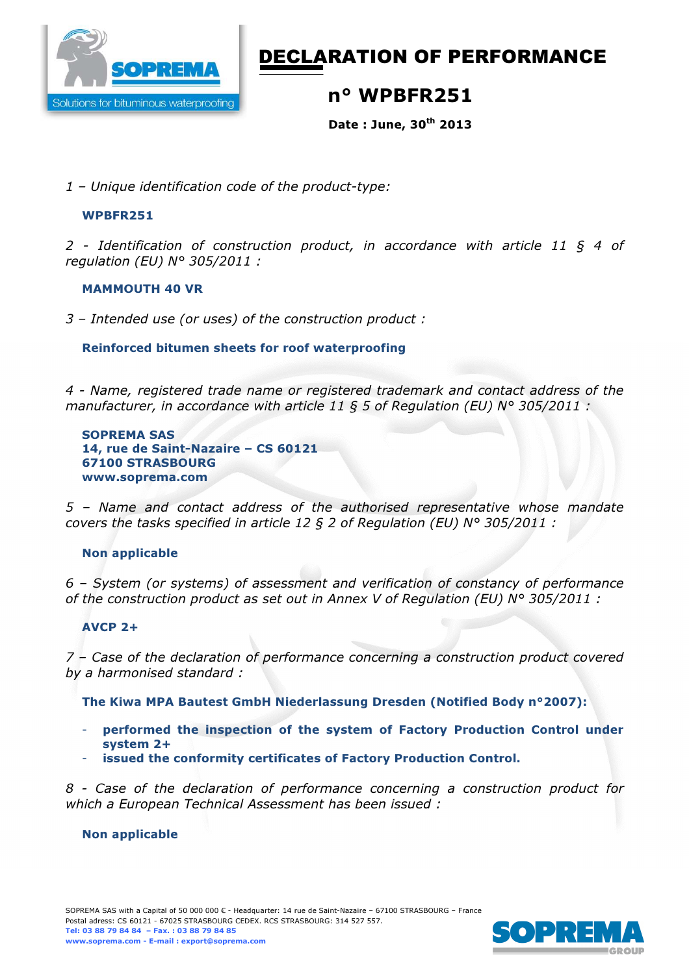

# DECLARATION OF PERFORMANCE

## n° WPBFR251

Date : June, 30th 2013

*1 – Unique identification code of the product-type:* 

#### WPBFR251

*2 - Identification of construction product, in accordance with article 11 § 4 of regulation (EU) N° 305/2011 :* 

#### MAMMOUTH 40 VR

*3 – Intended use (or uses) of the construction product :*

#### Reinforced bitumen sheets for roof waterproofing

*4 - Name, registered trade name or registered trademark and contact address of the manufacturer, in accordance with article 11 § 5 of Regulation (EU) N° 305/2011 :* 

SOPREMA SAS 14, rue de Saint-Nazaire – CS 60121 67100 STRASBOURG www.soprema.com

*5 – Name and contact address of the authorised representative whose mandate covers the tasks specified in article 12 § 2 of Regulation (EU) N° 305/2011 :* 

## Non applicable

*6 – System (or systems) of assessment and verification of constancy of performance of the construction product as set out in Annex V of Regulation (EU) N° 305/2011 :* 

## AVCP 2+

*7 – Case of the declaration of performance concerning a construction product covered by a harmonised standard :* 

The Kiwa MPA Bautest GmbH Niederlassung Dresden (Notified Body n°2007):

- performed the inspection of the system of Factory Production Control under system 2+
- issued the conformity certificates of Factory Production Control.

*8 - Case of the declaration of performance concerning a construction product for which a European Technical Assessment has been issued :* 

#### Non applicable